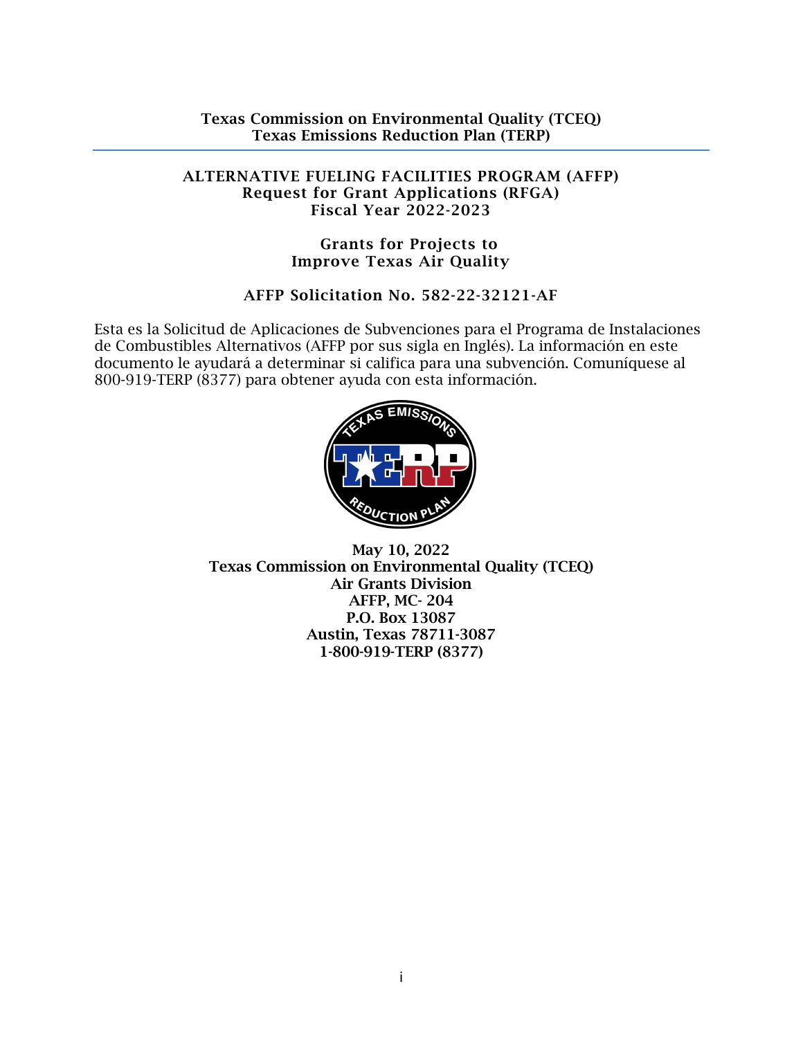#### ALTERNATIVE FUELING FACILITIES PROGRAM (AFFP) Request for Grant Applications (RFGA) Fiscal Year 2022-2023

#### Grants for Projects to Improve Texas Air Quality

# AFFP Solicitation No. 582-22-32121-AF

Esta es la Solicitud de Aplicaciones de Subvenciones para el Programa de Instalaciones de Combustibles Alternativos (AFFP por sus sigla en Inglés). La información en este documento le ayudará a determinar si califica para una subvención. Comuníquese al 800-919-TERP (8377) para obtener ayuda con esta información.



May 10, 2022 Texas Commission on Environmental Quality (TCEQ) Air Grants Division AFFP, MC- 204 P.O. Box 13087 Austin, Texas 78711-3087 1-800-919-TERP (8377)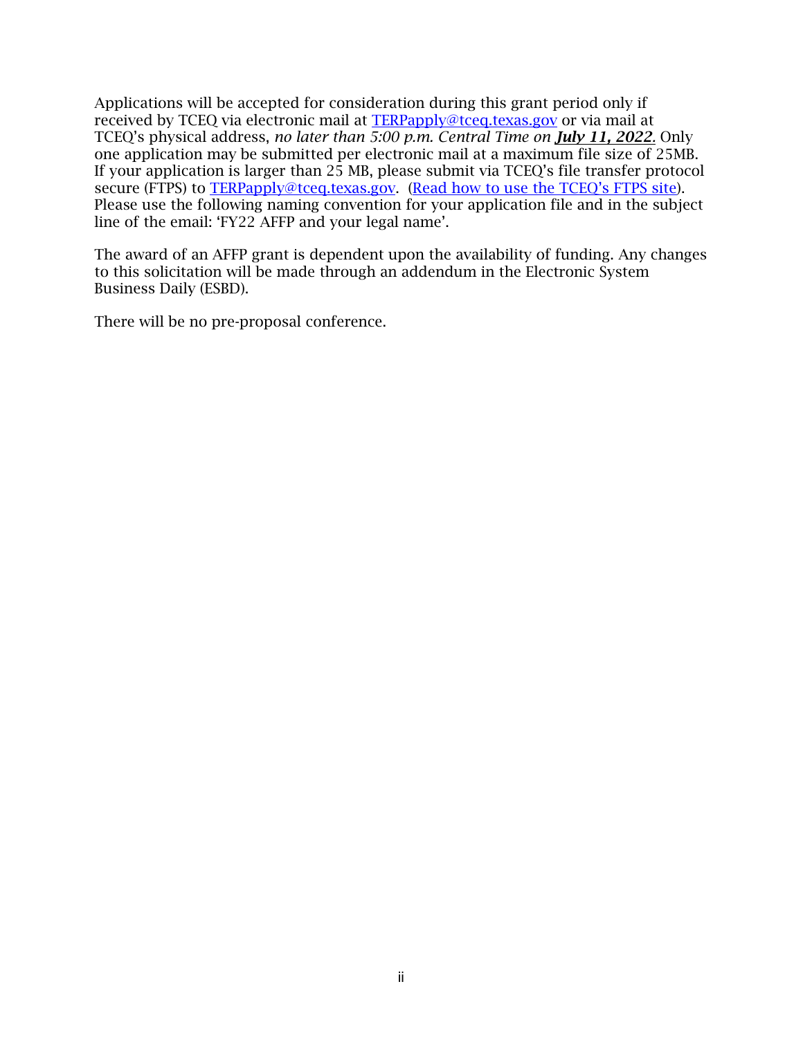Applications will be accepted for consideration during this grant period only if received by TCEQ via electronic mail at [TERPapply@tceq.texas.gov](mailto:TERPapply@tceq.texas.gov) or via mail at TCEQ's physical address, *no later than 5:00 p.m. Central Time on July 11, 2022.* Only one application may be submitted per electronic mail at a maximum file size of 25MB. If your application is larger than 25 MB, please submit via TCEQ's file transfer protocol secure (FTPS) to [TERPapply@tceq.texas.gov.](mailto:TERPapply@tceq.texas.gov) [\(Read how to use the TCEQ's FTPS site\)](https://ftps.tceq.texas.gov/help/). Please use the following naming convention for your application file and in the subject line of the email: 'FY22 AFFP and your legal name'.

The award of an AFFP grant is dependent upon the availability of funding. Any changes to this solicitation will be made through an addendum in the Electronic System Business Daily (ESBD).

There will be no pre-proposal conference.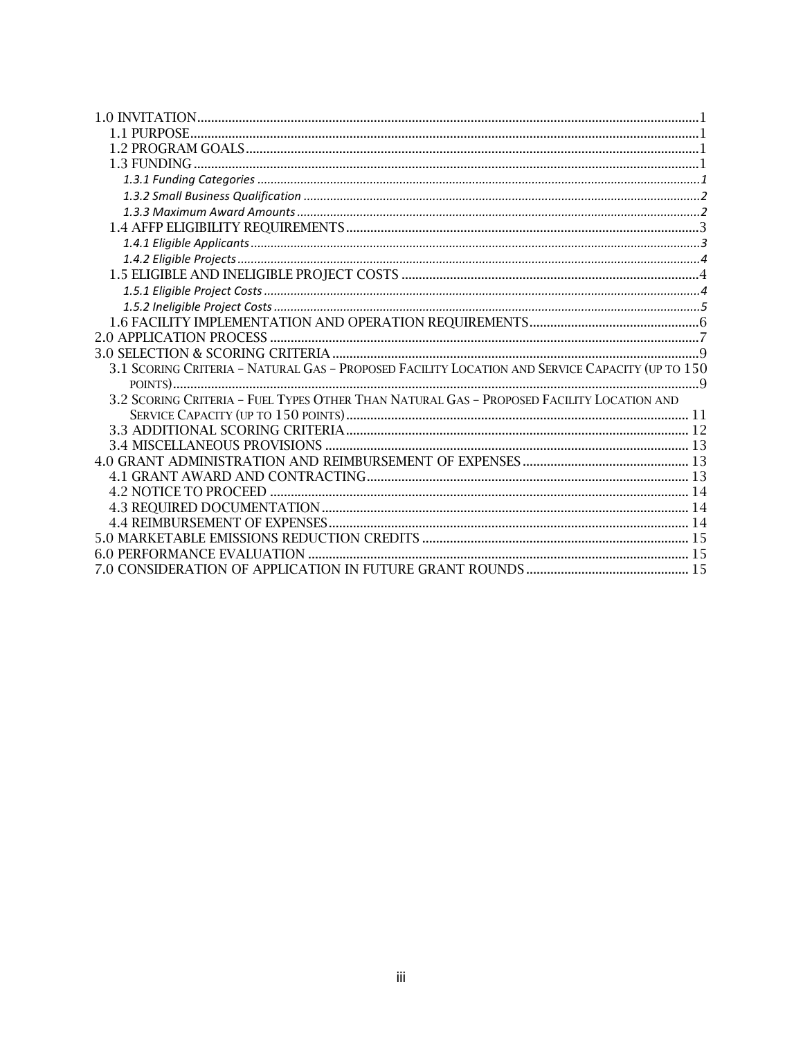| 3.1 SCORING CRITERIA - NATURAL GAS - PROPOSED FACILITY LOCATION AND SERVICE CAPACITY (UP TO 150 |  |
|-------------------------------------------------------------------------------------------------|--|
|                                                                                                 |  |
| 3.2 SCORING CRITERIA - FUEL TYPES OTHER THAN NATURAL GAS - PROPOSED FACILITY LOCATION AND       |  |
|                                                                                                 |  |
|                                                                                                 |  |
|                                                                                                 |  |
|                                                                                                 |  |
|                                                                                                 |  |
|                                                                                                 |  |
|                                                                                                 |  |
|                                                                                                 |  |
|                                                                                                 |  |
|                                                                                                 |  |
|                                                                                                 |  |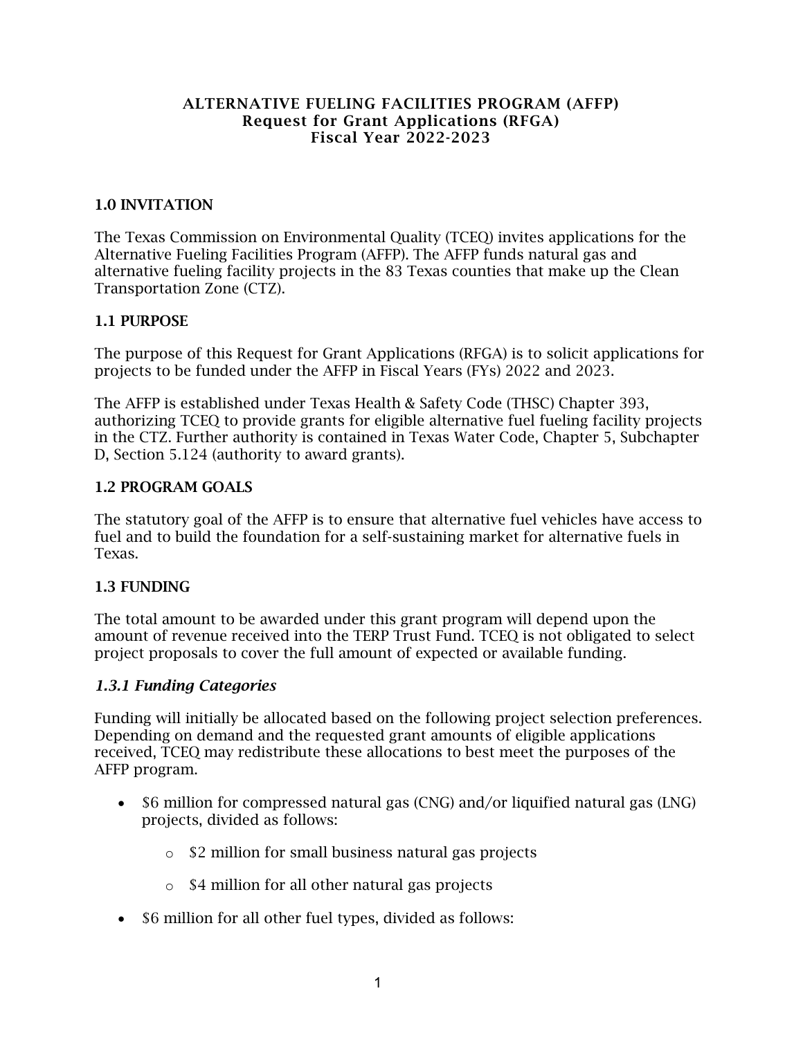#### ALTERNATIVE FUELING FACILITIES PROGRAM (AFFP) Request for Grant Applications (RFGA) Fiscal Year 2022-2023

#### <span id="page-3-0"></span>1.0 INVITATION

The Texas Commission on Environmental Quality (TCEQ) invites applications for the Alternative Fueling Facilities Program (AFFP). The AFFP funds natural gas and alternative fueling facility projects in the 83 Texas counties that make up the Clean Transportation Zone (CTZ).

#### <span id="page-3-1"></span>1.1 PURPOSE

The purpose of this Request for Grant Applications (RFGA) is to solicit applications for projects to be funded under the AFFP in Fiscal Years (FYs) 2022 and 2023.

The AFFP is established under Texas Health & Safety Code (THSC) Chapter 393, authorizing TCEQ to provide grants for eligible alternative fuel fueling facility projects in the CTZ. Further authority is contained in Texas Water Code, Chapter 5, Subchapter D, Section 5.124 (authority to award grants).

#### <span id="page-3-2"></span>1.2 PROGRAM GOALS

The statutory goal of the AFFP is to ensure that alternative fuel vehicles have access to fuel and to build the foundation for a self-sustaining market for alternative fuels in Texas.

#### <span id="page-3-3"></span>1.3 FUNDING

The total amount to be awarded under this grant program will depend upon the amount of revenue received into the TERP Trust Fund. TCEQ is not obligated to select project proposals to cover the full amount of expected or available funding.

#### <span id="page-3-4"></span>*1.3.1 Funding Categories*

Funding will initially be allocated based on the following project selection preferences. Depending on demand and the requested grant amounts of eligible applications received, TCEQ may redistribute these allocations to best meet the purposes of the AFFP program.

- \$6 million for compressed natural gas (CNG) and/or liquified natural gas (LNG) projects, divided as follows:
	- o \$2 million for small business natural gas projects
	- o \$4 million for all other natural gas projects
- \$6 million for all other fuel types, divided as follows: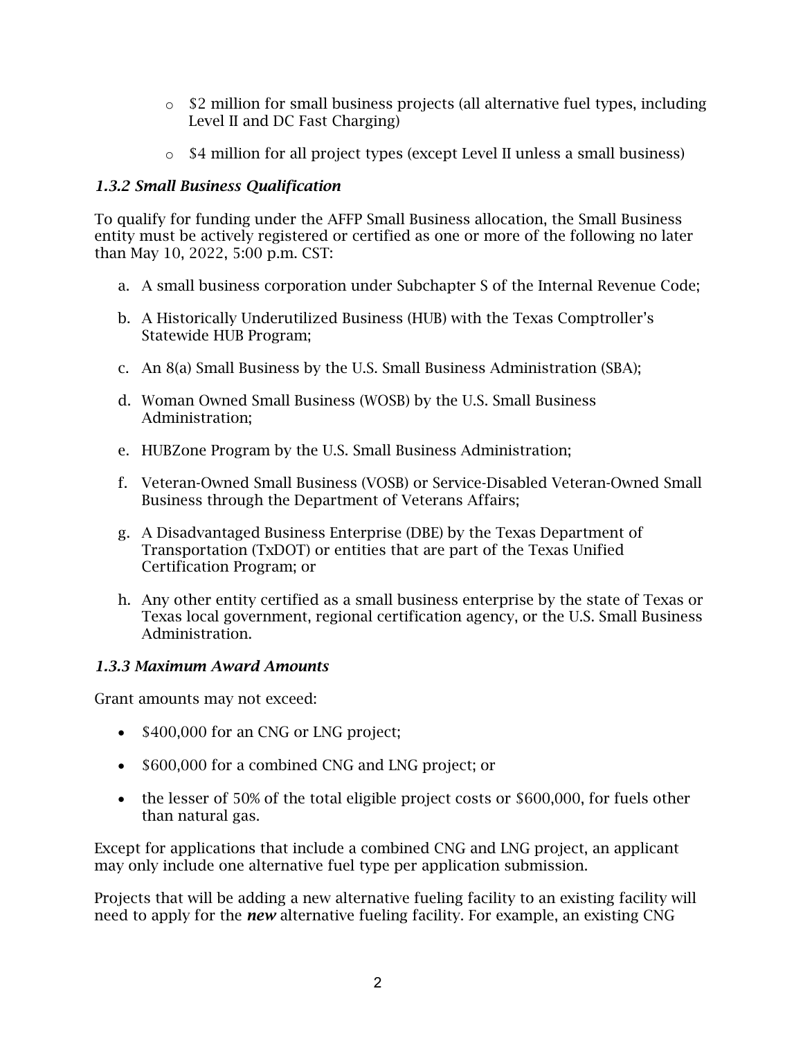- $\circ$  \$2 million for small business projects (all alternative fuel types, including Level II and DC Fast Charging)
- o \$4 million for all project types (except Level II unless a small business)

## <span id="page-4-0"></span>*1.3.2 Small Business Qualification*

To qualify for funding under the AFFP Small Business allocation, the Small Business entity must be actively registered or certified as one or more of the following no later than May 10, 2022, 5:00 p.m. CST:

- a. A small business corporation under Subchapter S of the Internal Revenue Code;
- b. A Historically Underutilized Business (HUB) with the Texas Comptroller's Statewide HUB Program;
- c. An 8(a) Small Business by the U.S. Small Business Administration (SBA);
- d. Woman Owned Small Business (WOSB) by the U.S. Small Business Administration;
- e. HUBZone Program by the U.S. Small Business Administration;
- f. Veteran-Owned Small Business (VOSB) or Service-Disabled Veteran-Owned Small Business through the Department of Veterans Affairs;
- g. A Disadvantaged Business Enterprise (DBE) by the Texas Department of Transportation (TxDOT) or entities that are part of the Texas Unified Certification Program; or
- h. Any other entity certified as a small business enterprise by the state of Texas or Texas local government, regional certification agency, or the U.S. Small Business Administration.

### <span id="page-4-1"></span>*1.3.3 Maximum Award Amounts*

Grant amounts may not exceed:

- \$400,000 for an CNG or LNG project;
- \$600,000 for a combined CNG and LNG project; or
- the lesser of 50% of the total eligible project costs or \$600,000, for fuels other than natural gas.

Except for applications that include a combined CNG and LNG project, an applicant may only include one alternative fuel type per application submission.

Projects that will be adding a new alternative fueling facility to an existing facility will need to apply for the *new* alternative fueling facility. For example, an existing CNG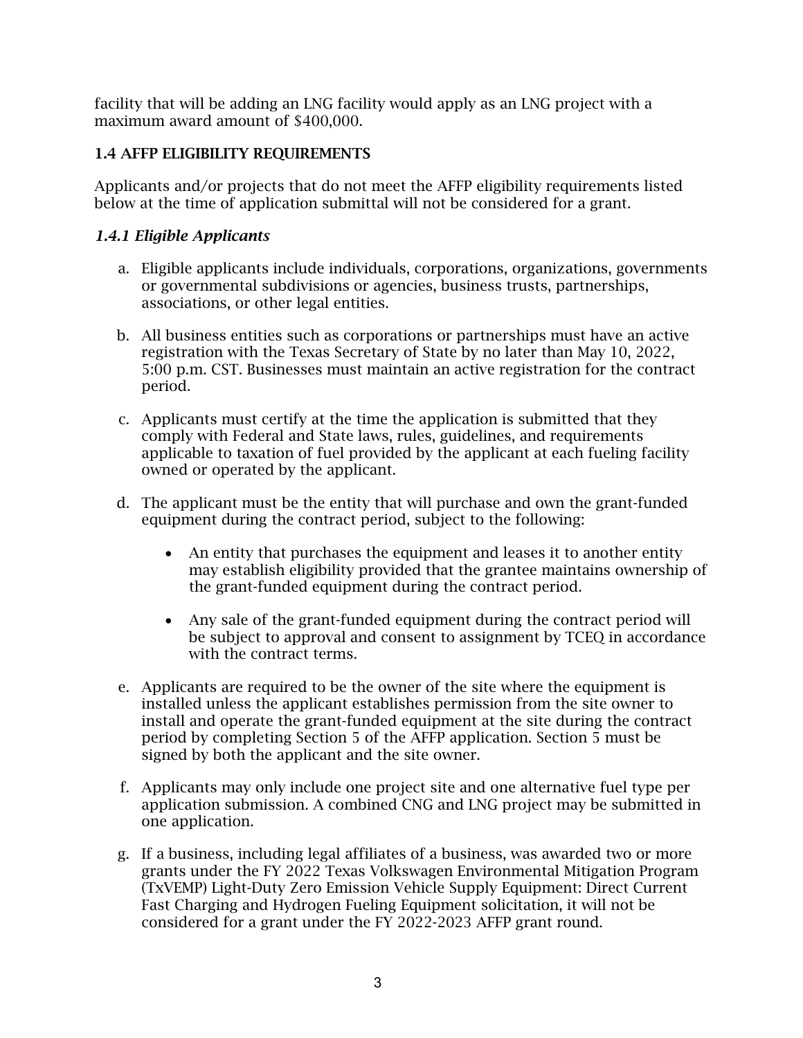facility that will be adding an LNG facility would apply as an LNG project with a maximum award amount of \$400,000.

## <span id="page-5-0"></span>1.4 AFFP ELIGIBILITY REQUIREMENTS

Applicants and/or projects that do not meet the AFFP eligibility requirements listed below at the time of application submittal will not be considered for a grant.

## <span id="page-5-1"></span>*1.4.1 Eligible Applicants*

- a. Eligible applicants include individuals, corporations, organizations, governments or governmental subdivisions or agencies, business trusts, partnerships, associations, or other legal entities.
- b. All business entities such as corporations or partnerships must have an active registration with the Texas Secretary of State by no later than May 10, 2022, 5:00 p.m. CST. Businesses must maintain an active registration for the contract period.
- c. Applicants must certify at the time the application is submitted that they comply with Federal and State laws, rules, guidelines, and requirements applicable to taxation of fuel provided by the applicant at each fueling facility owned or operated by the applicant.
- d. The applicant must be the entity that will purchase and own the grant-funded equipment during the contract period, subject to the following:
	- An entity that purchases the equipment and leases it to another entity may establish eligibility provided that the grantee maintains ownership of the grant-funded equipment during the contract period.
	- Any sale of the grant-funded equipment during the contract period will be subject to approval and consent to assignment by TCEQ in accordance with the contract terms.
- e. Applicants are required to be the owner of the site where the equipment is installed unless the applicant establishes permission from the site owner to install and operate the grant-funded equipment at the site during the contract period by completing Section 5 of the AFFP application. Section 5 must be signed by both the applicant and the site owner.
- f. Applicants may only include one project site and one alternative fuel type per application submission. A combined CNG and LNG project may be submitted in one application.
- g. If a business, including legal affiliates of a business, was awarded two or more grants under the FY 2022 Texas Volkswagen Environmental Mitigation Program (TxVEMP) Light-Duty Zero Emission Vehicle Supply Equipment: Direct Current Fast Charging and Hydrogen Fueling Equipment solicitation, it will not be considered for a grant under the FY 2022-2023 AFFP grant round.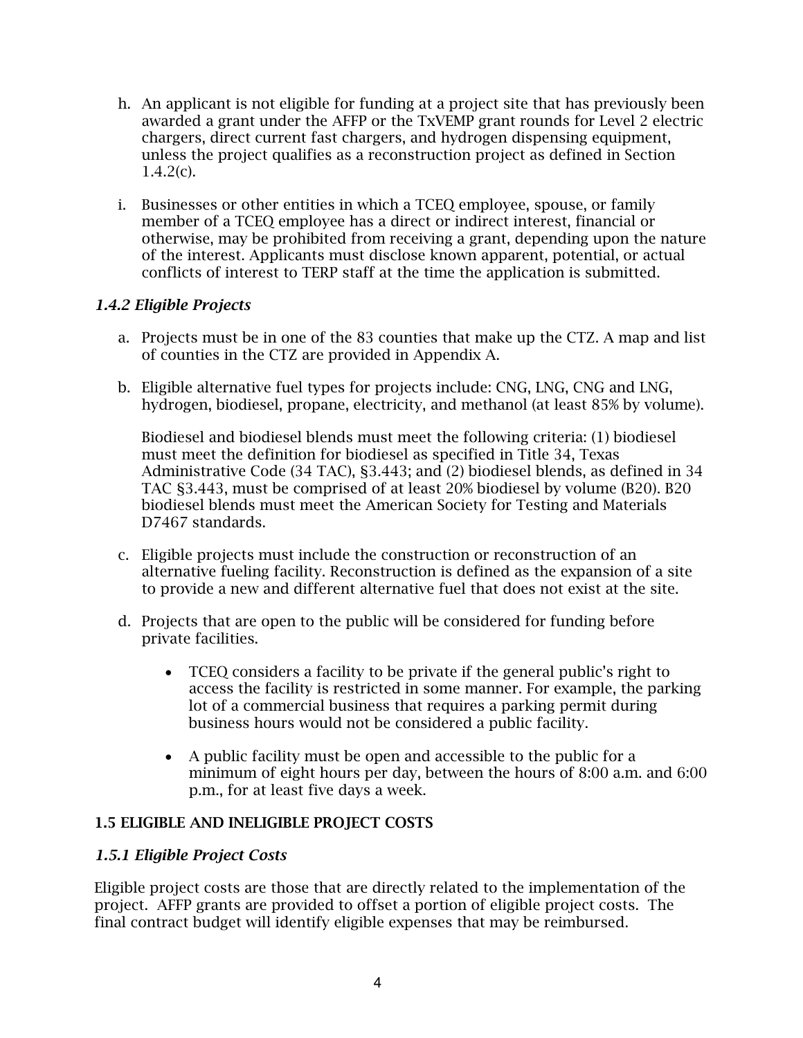- h. An applicant is not eligible for funding at a project site that has previously been awarded a grant under the AFFP or the TxVEMP grant rounds for Level 2 electric chargers, direct current fast chargers, and hydrogen dispensing equipment, unless the project qualifies as a reconstruction project as defined in Section  $1.4.2(c)$ .
- i. Businesses or other entities in which a TCEQ employee, spouse, or family member of a TCEQ employee has a direct or indirect interest, financial or otherwise, may be prohibited from receiving a grant, depending upon the nature of the interest. Applicants must disclose known apparent, potential, or actual conflicts of interest to TERP staff at the time the application is submitted.

### <span id="page-6-0"></span>*1.4.2 Eligible Projects*

- a. Projects must be in one of the 83 counties that make up the CTZ. A map and list of counties in the CTZ are provided in Appendix A.
- b. Eligible alternative fuel types for projects include: CNG, LNG, CNG and LNG, hydrogen, biodiesel, propane, electricity, and methanol (at least 85% by volume).

Biodiesel and biodiesel blends must meet the following criteria: (1) biodiesel must meet the definition for biodiesel as specified in Title 34, Texas Administrative Code (34 TAC), §3.443; and (2) biodiesel blends, as defined in 34 TAC §3.443, must be comprised of at least 20% biodiesel by volume (B20). B20 biodiesel blends must meet the American Society for Testing and Materials D7467 standards.

- c. Eligible projects must include the construction or reconstruction of an alternative fueling facility. Reconstruction is defined as the expansion of a site to provide a new and different alternative fuel that does not exist at the site.
- d. Projects that are open to the public will be considered for funding before private facilities.
	- TCEQ considers a facility to be private if the general public's right to access the facility is restricted in some manner. For example, the parking lot of a commercial business that requires a parking permit during business hours would not be considered a public facility.
	- A public facility must be open and accessible to the public for a minimum of eight hours per day, between the hours of 8:00 a.m. and 6:00 p.m., for at least five days a week.

### <span id="page-6-1"></span>1.5 ELIGIBLE AND INELIGIBLE PROJECT COSTS

### <span id="page-6-2"></span>*1.5.1 Eligible Project Costs*

Eligible project costs are those that are directly related to the implementation of the project. AFFP grants are provided to offset a portion of eligible project costs. The final contract budget will identify eligible expenses that may be reimbursed.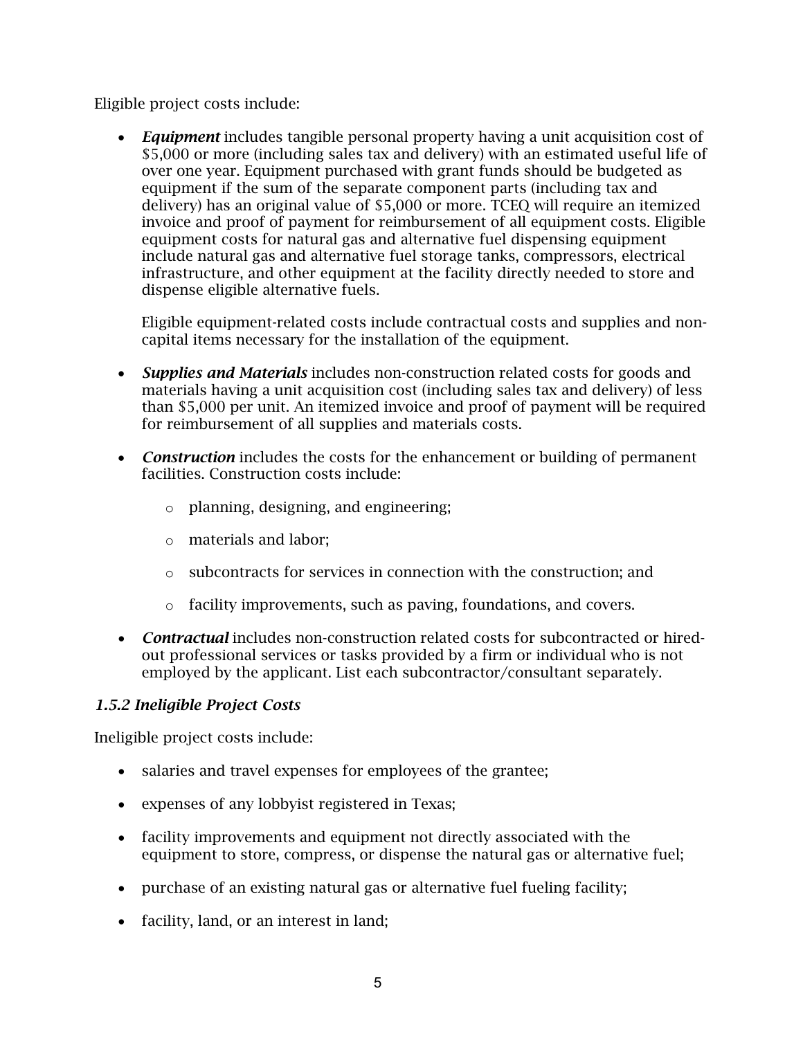Eligible project costs include:

• *Equipment* includes tangible personal property having a unit acquisition cost of \$5,000 or more (including sales tax and delivery) with an estimated useful life of over one year. Equipment purchased with grant funds should be budgeted as equipment if the sum of the separate component parts (including tax and delivery) has an original value of \$5,000 or more. TCEQ will require an itemized invoice and proof of payment for reimbursement of all equipment costs. Eligible equipment costs for natural gas and alternative fuel dispensing equipment include natural gas and alternative fuel storage tanks, compressors, electrical infrastructure, and other equipment at the facility directly needed to store and dispense eligible alternative fuels.

Eligible equipment-related costs include contractual costs and supplies and noncapital items necessary for the installation of the equipment.

- *Supplies and Materials* includes non-construction related costs for goods and materials having a unit acquisition cost (including sales tax and delivery) of less than \$5,000 per unit. An itemized invoice and proof of payment will be required for reimbursement of all supplies and materials costs.
- *Construction* includes the costs for the enhancement or building of permanent facilities. Construction costs include:
	- o planning, designing, and engineering;
	- o materials and labor;
	- o subcontracts for services in connection with the construction; and
	- o facility improvements, such as paving, foundations, and covers.
- *Contractual* includes non-construction related costs for subcontracted or hiredout professional services or tasks provided by a firm or individual who is not employed by the applicant. List each subcontractor/consultant separately.

## <span id="page-7-0"></span>*1.5.2 Ineligible Project Costs*

Ineligible project costs include:

- salaries and travel expenses for employees of the grantee;
- expenses of any lobbyist registered in Texas;
- facility improvements and equipment not directly associated with the equipment to store, compress, or dispense the natural gas or alternative fuel;
- purchase of an existing natural gas or alternative fuel fueling facility;
- facility, land, or an interest in land;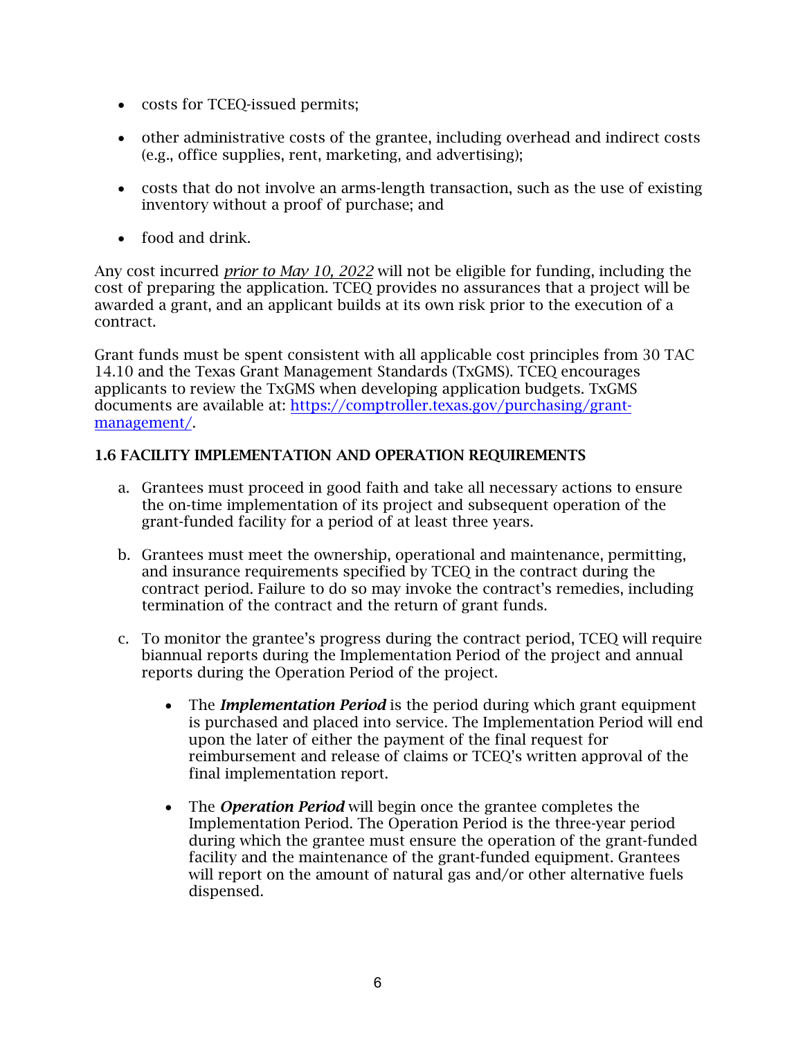- costs for TCEQ-issued permits;
- other administrative costs of the grantee, including overhead and indirect costs (e.g., office supplies, rent, marketing, and advertising);
- costs that do not involve an arms-length transaction, such as the use of existing inventory without a proof of purchase; and
- food and drink.

Any cost incurred *prior to May 10, 2022* will not be eligible for funding, including the cost of preparing the application. TCEQ provides no assurances that a project will be awarded a grant, and an applicant builds at its own risk prior to the execution of a contract.

Grant funds must be spent consistent with all applicable cost principles from 30 TAC 14.10 and the Texas Grant Management Standards (TxGMS). TCEQ encourages applicants to review the TxGMS when developing application budgets. TxGMS documents are available at: [https://comptroller.texas.gov/purchasing/grant](https://comptroller.texas.gov/purchasing/grant-management/)[management/.](https://comptroller.texas.gov/purchasing/grant-management/)

### <span id="page-8-0"></span>1.6 FACILITY IMPLEMENTATION AND OPERATION REQUIREMENTS

- a. Grantees must proceed in good faith and take all necessary actions to ensure the on-time implementation of its project and subsequent operation of the grant-funded facility for a period of at least three years.
- b. Grantees must meet the ownership, operational and maintenance, permitting, and insurance requirements specified by TCEQ in the contract during the contract period. Failure to do so may invoke the contract's remedies, including termination of the contract and the return of grant funds.
- c. To monitor the grantee's progress during the contract period, TCEQ will require biannual reports during the Implementation Period of the project and annual reports during the Operation Period of the project.
	- The *Implementation Period* is the period during which grant equipment is purchased and placed into service. The Implementation Period will end upon the later of either the payment of the final request for reimbursement and release of claims or TCEQ's written approval of the final implementation report.
	- The *Operation Period* will begin once the grantee completes the Implementation Period. The Operation Period is the three-year period during which the grantee must ensure the operation of the grant-funded facility and the maintenance of the grant-funded equipment. Grantees will report on the amount of natural gas and/or other alternative fuels dispensed.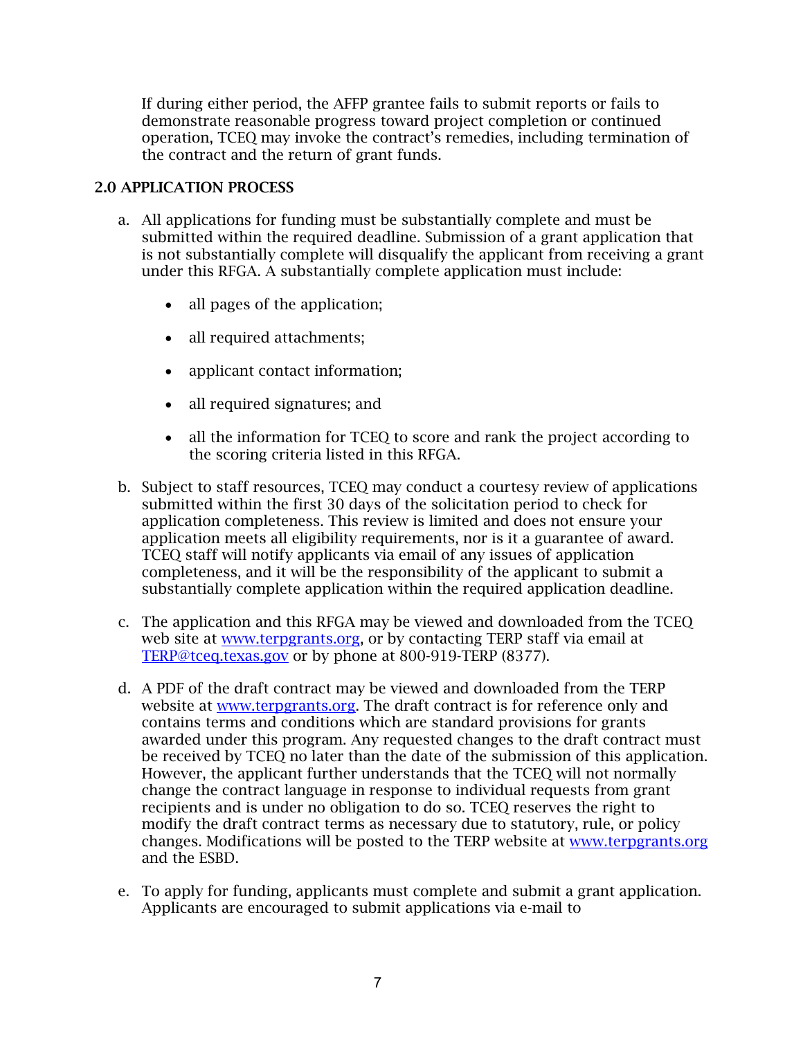If during either period, the AFFP grantee fails to submit reports or fails to demonstrate reasonable progress toward project completion or continued operation, TCEQ may invoke the contract's remedies, including termination of the contract and the return of grant funds.

### <span id="page-9-0"></span>2.0 APPLICATION PROCESS

- a. All applications for funding must be substantially complete and must be submitted within the required deadline. Submission of a grant application that is not substantially complete will disqualify the applicant from receiving a grant under this RFGA. A substantially complete application must include:
	- all pages of the application;
	- all required attachments;
	- applicant contact information;
	- all required signatures; and
	- all the information for TCEQ to score and rank the project according to the scoring criteria listed in this RFGA.
- b. Subject to staff resources, TCEQ may conduct a courtesy review of applications submitted within the first 30 days of the solicitation period to check for application completeness. This review is limited and does not ensure your application meets all eligibility requirements, nor is it a guarantee of award. TCEQ staff will notify applicants via email of any issues of application completeness, and it will be the responsibility of the applicant to submit a substantially complete application within the required application deadline.
- c. The application and this RFGA may be viewed and downloaded from the TCEQ web site at [www.terpgrants.org,](http://www.terpgrants.org/) or by contacting TERP staff via email at TERP@tceq.texas.gov or by phone at 800-919-TERP (8377).
- d. A PDF of the draft contract may be viewed and downloaded from the TERP website at [www.terpgrants.org.](http://www.terpgrants.org/) The draft contract is for reference only and contains terms and conditions which are standard provisions for grants awarded under this program. Any requested changes to the draft contract must be received by TCEQ no later than the date of the submission of this application. However, the applicant further understands that the TCEQ will not normally change the contract language in response to individual requests from grant recipients and is under no obligation to do so. TCEQ reserves the right to modify the draft contract terms as necessary due to statutory, rule, or policy changes. Modifications will be posted to the TERP website at [www.terpgrants.org](http://www.terpgrants.org/) and the ESBD.
- e. To apply for funding, applicants must complete and submit a grant application. Applicants are encouraged to submit applications via e-mail to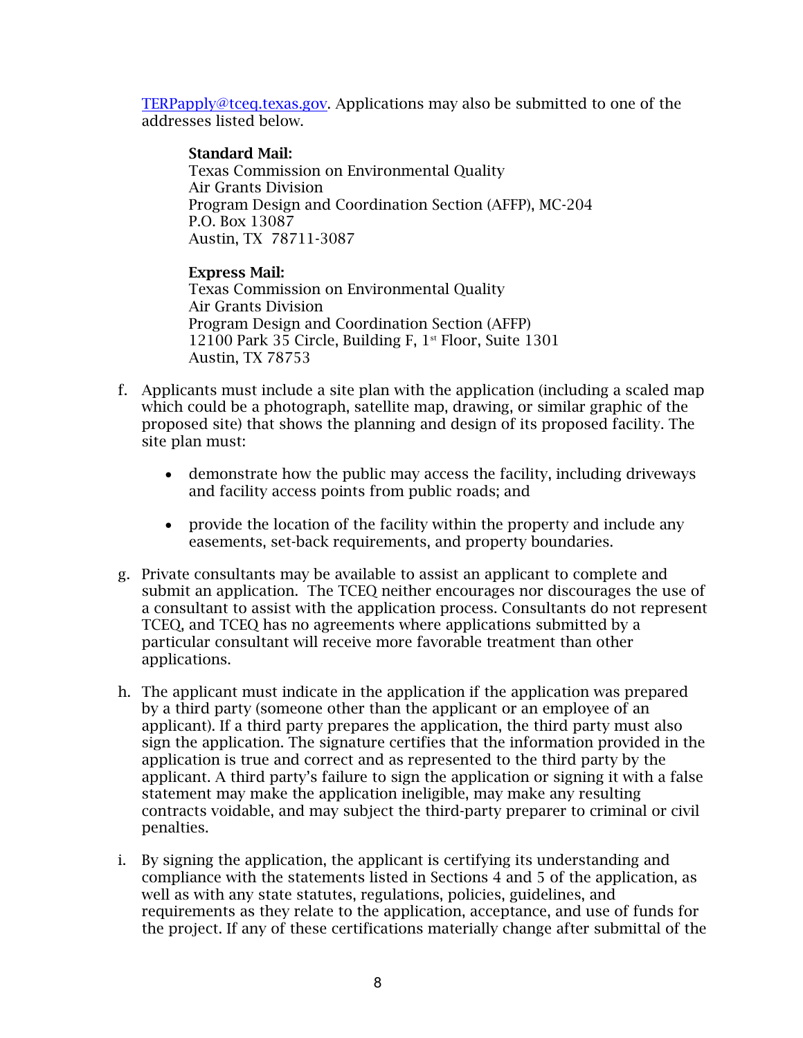[TERPapply@tceq.texas.gov.](https://tceq.sharepoint.com/sites/TERPFiscalTeam/Shared%20Documents/AFFP%20Program/AFFP%20FY22-23/02-RFGA/TERPapply@tceq.texas.gov) Applications may also be submitted to one of the addresses listed below.

#### Standard Mail:

Texas Commission on Environmental Quality Air Grants Division Program Design and Coordination Section (AFFP), MC-204 P.O. Box 13087 Austin, TX 78711-3087

#### Express Mail:

Texas Commission on Environmental Quality Air Grants Division Program Design and Coordination Section (AFFP) 12100 Park 35 Circle, Building F, 1<sup>st</sup> Floor, Suite 1301 Austin, TX 78753

- f. Applicants must include a site plan with the application (including a scaled map which could be a photograph, satellite map, drawing, or similar graphic of the proposed site) that shows the planning and design of its proposed facility. The site plan must:
	- demonstrate how the public may access the facility, including driveways and facility access points from public roads; and
	- provide the location of the facility within the property and include any easements, set-back requirements, and property boundaries.
- g. Private consultants may be available to assist an applicant to complete and submit an application. The TCEQ neither encourages nor discourages the use of a consultant to assist with the application process. Consultants do not represent TCEQ, and TCEQ has no agreements where applications submitted by a particular consultant will receive more favorable treatment than other applications.
- h. The applicant must indicate in the application if the application was prepared by a third party (someone other than the applicant or an employee of an applicant). If a third party prepares the application, the third party must also sign the application. The signature certifies that the information provided in the application is true and correct and as represented to the third party by the applicant. A third party's failure to sign the application or signing it with a false statement may make the application ineligible, may make any resulting contracts voidable, and may subject the third-party preparer to criminal or civil penalties.
- i. By signing the application, the applicant is certifying its understanding and compliance with the statements listed in Sections 4 and 5 of the application, as well as with any state statutes, regulations, policies, guidelines, and requirements as they relate to the application, acceptance, and use of funds for the project. If any of these certifications materially change after submittal of the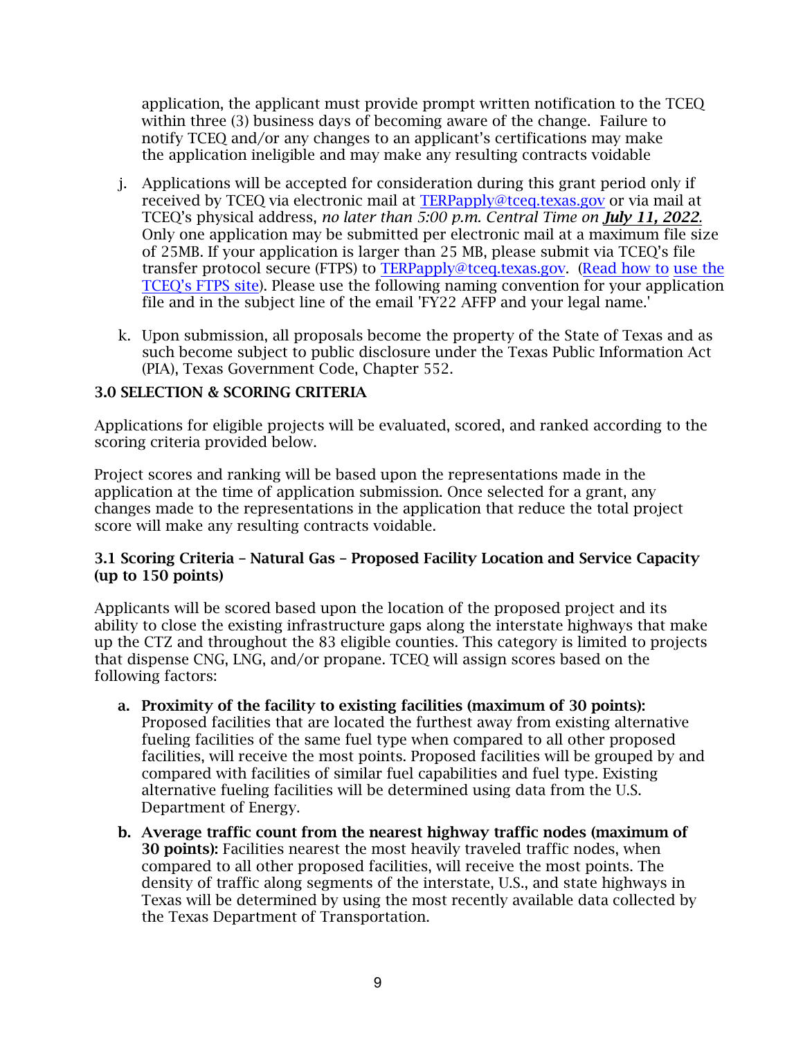application, the applicant must provide prompt written notification to the TCEQ within three (3) business days of becoming aware of the change. Failure to notify TCEQ and/or any changes to an applicant's certifications may make the application ineligible and may make any resulting contracts voidable

- j. Applications will be accepted for consideration during this grant period only if received by TCEQ via electronic mail at [TERPapply@tceq.texas.gov](mailto:TERPapply@tceq.texas.gov) or via mail at TCEQ's physical address, *no later than 5:00 p.m. Central Time on July 11, 2022.* Only one application may be submitted per electronic mail at a maximum file size of 25MB. If your application is larger than 25 MB, please submit via TCEQ's file transfer protocol secure (FTPS) to [TERPapply@tceq.texas.gov.](mailto:TERPapply@tceq.texas.gov) (Re[ad how to](https://ftps.tceq.texas.gov/help/) use the TCEQ's FTPS site). Please use the following naming convention for your application [file and in the subject lin](https://ftps.tceq.texas.gov/help/)e of the email 'FY22 AFFP and your legal name.'
- k. Upon submission, all proposals become the property of the State of Texas and as such become subject to public disclosure under the Texas Public Information Act (PIA), Texas Government Code, Chapter 552.

#### <span id="page-11-0"></span>3.0 SELECTION & SCORING CRITERIA

Applications for eligible projects will be evaluated, scored, and ranked according to the scoring criteria provided below.

Project scores and ranking will be based upon the representations made in the application at the time of application submission. Once selected for a grant, any changes made to the representations in the application that reduce the total project score will make any resulting contracts voidable.

#### <span id="page-11-1"></span>3.1 Scoring Criteria – Natural Gas – Proposed Facility Location and Service Capacity (up to 150 points)

Applicants will be scored based upon the location of the proposed project and its ability to close the existing infrastructure gaps along the interstate highways that make up the CTZ and throughout the 83 eligible counties. This category is limited to projects that dispense CNG, LNG, and/or propane. TCEQ will assign scores based on the following factors:

- a. Proximity of the facility to existing facilities (maximum of 30 points): Proposed facilities that are located the furthest away from existing alternative fueling facilities of the same fuel type when compared to all other proposed facilities, will receive the most points. Proposed facilities will be grouped by and compared with facilities of similar fuel capabilities and fuel type. Existing alternative fueling facilities will be determined using data from the U.S. Department of Energy.
- b. Average traffic count from the nearest highway traffic nodes (maximum of 30 points): Facilities nearest the most heavily traveled traffic nodes, when compared to all other proposed facilities, will receive the most points. The density of traffic along segments of the interstate, U.S., and state highways in Texas will be determined by using the most recently available data collected by the Texas Department of Transportation.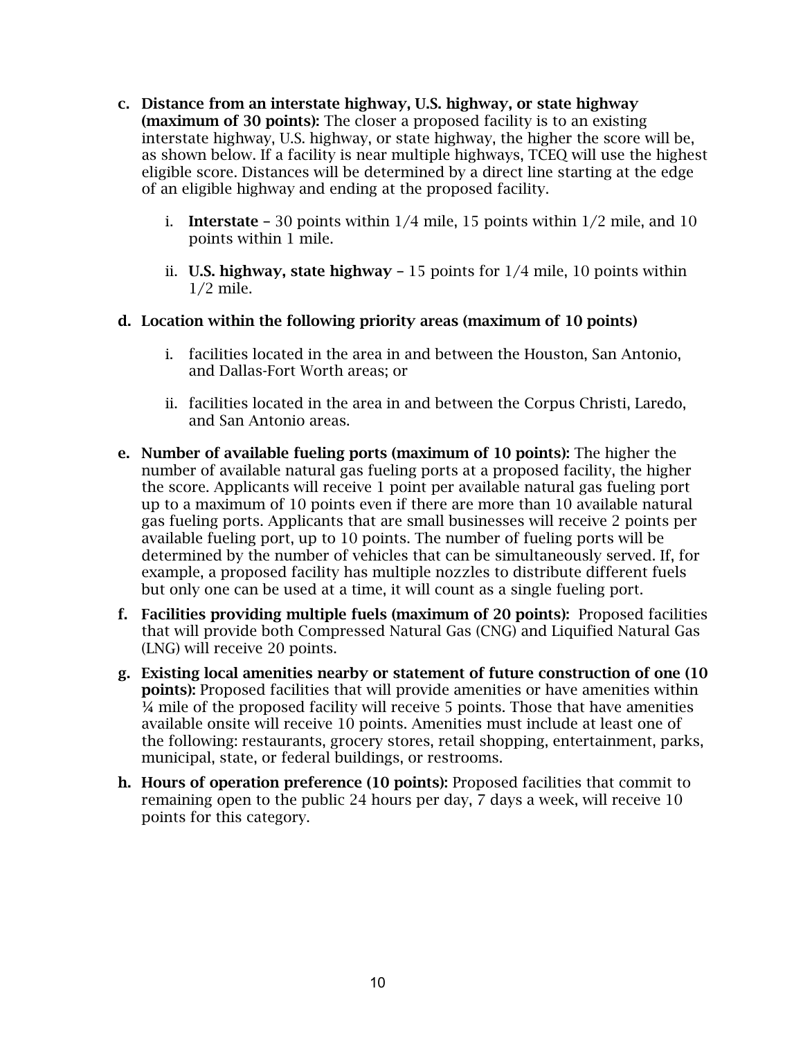- c. Distance from an interstate highway, U.S. highway, or state highway (maximum of 30 points): The closer a proposed facility is to an existing interstate highway, U.S. highway, or state highway, the higher the score will be, as shown below. If a facility is near multiple highways, TCEQ will use the highest eligible score. Distances will be determined by a direct line starting at the edge of an eligible highway and ending at the proposed facility.
	- i. **Interstate** 30 points within  $1/4$  mile, 15 points within  $1/2$  mile, and 10 points within 1 mile.
	- ii. **U.S. highway, state highway**  $-15$  points for  $1/4$  mile, 10 points within 1/2 mile.

### d. Location within the following priority areas (maximum of 10 points)

- i. facilities located in the area in and between the Houston, San Antonio, and Dallas-Fort Worth areas; or
- ii. facilities located in the area in and between the Corpus Christi, Laredo, and San Antonio areas.
- e. Number of available fueling ports (maximum of 10 points): The higher the number of available natural gas fueling ports at a proposed facility, the higher the score. Applicants will receive 1 point per available natural gas fueling port up to a maximum of 10 points even if there are more than 10 available natural gas fueling ports. Applicants that are small businesses will receive 2 points per available fueling port, up to 10 points. The number of fueling ports will be determined by the number of vehicles that can be simultaneously served. If, for example, a proposed facility has multiple nozzles to distribute different fuels but only one can be used at a time, it will count as a single fueling port.
- f. Facilities providing multiple fuels (maximum of 20 points): Proposed facilities that will provide both Compressed Natural Gas (CNG) and Liquified Natural Gas (LNG) will receive 20 points.
- g. Existing local amenities nearby or statement of future construction of one (10 points): Proposed facilities that will provide amenities or have amenities within ¼ mile of the proposed facility will receive 5 points. Those that have amenities available onsite will receive 10 points. Amenities must include at least one of the following: restaurants, grocery stores, retail shopping, entertainment, parks, municipal, state, or federal buildings, or restrooms.
- h. Hours of operation preference (10 points): Proposed facilities that commit to remaining open to the public 24 hours per day, 7 days a week, will receive 10 points for this category.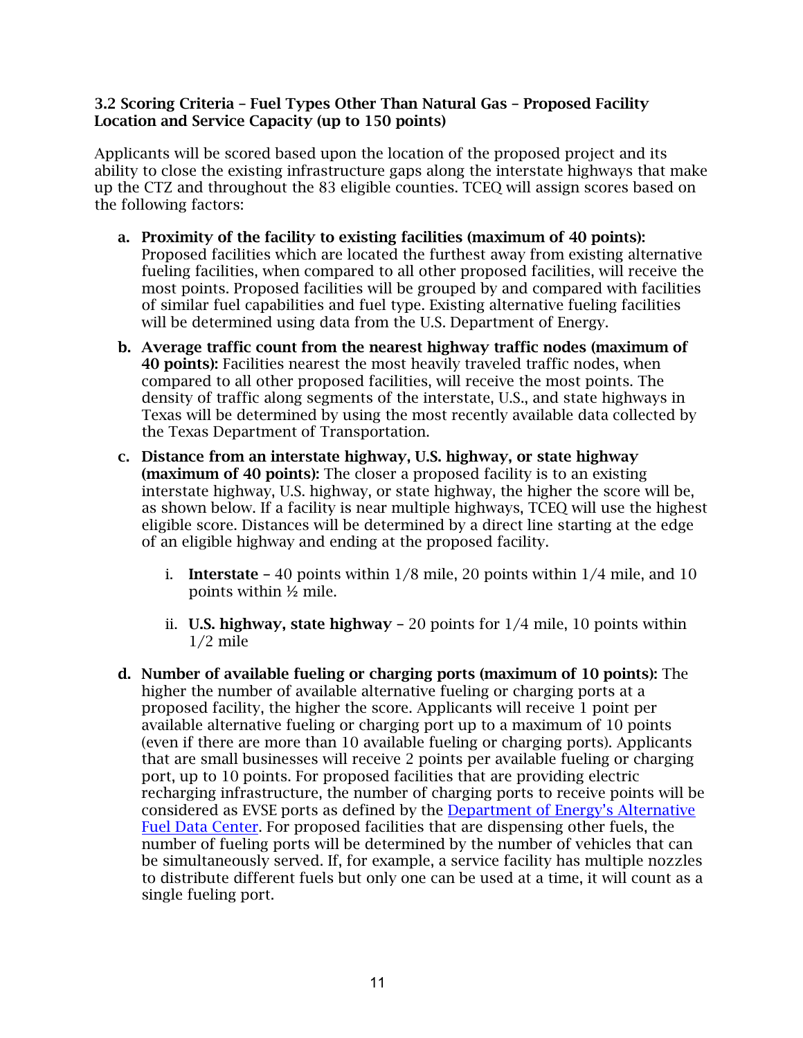#### <span id="page-13-0"></span>3.2 Scoring Criteria – Fuel Types Other Than Natural Gas – Proposed Facility Location and Service Capacity (up to 150 points)

Applicants will be scored based upon the location of the proposed project and its ability to close the existing infrastructure gaps along the interstate highways that make up the CTZ and throughout the 83 eligible counties. TCEQ will assign scores based on the following factors:

- a. Proximity of the facility to existing facilities (maximum of 40 points): Proposed facilities which are located the furthest away from existing alternative fueling facilities, when compared to all other proposed facilities, will receive the most points. Proposed facilities will be grouped by and compared with facilities of similar fuel capabilities and fuel type. Existing alternative fueling facilities will be determined using data from the U.S. Department of Energy.
- b. Average traffic count from the nearest highway traffic nodes (maximum of 40 points): Facilities nearest the most heavily traveled traffic nodes, when compared to all other proposed facilities, will receive the most points. The density of traffic along segments of the interstate, U.S., and state highways in Texas will be determined by using the most recently available data collected by the Texas Department of Transportation.
- c. Distance from an interstate highway, U.S. highway, or state highway (maximum of 40 points): The closer a proposed facility is to an existing interstate highway, U.S. highway, or state highway, the higher the score will be, as shown below. If a facility is near multiple highways, TCEQ will use the highest eligible score. Distances will be determined by a direct line starting at the edge of an eligible highway and ending at the proposed facility.
	- i. **Interstate** 40 points within  $1/8$  mile, 20 points within  $1/4$  mile, and 10 points within ½ mile.
	- ii. **U.S. highway, state highway** 20 points for  $1/4$  mile, 10 points within 1/2 mile
- d. Number of available fueling or charging ports (maximum of 10 points): The higher the number of available alternative fueling or charging ports at a proposed facility, the higher the score. Applicants will receive 1 point per available alternative fueling or charging port up to a maximum of 10 points (even if there are more than 10 available fueling or charging ports). Applicants that are small businesses will receive 2 points per available fueling or charging port, up to 10 points. For proposed facilities that are providing electric recharging infrastructure, the number of charging ports to receive points will be considered as EVSE ports as defined by the [Department of Energy's Alternative](https://afdc.energy.gov/fuels/electricity_infrastructure.html#dc) [Fuel Data Center.](https://afdc.energy.gov/fuels/electricity_infrastructure.html#dc) For proposed facilities that are dispensing other fuels, the number of fueling ports will be determined by the number of vehicles that can be simultaneously served. If, for example, a service facility has multiple nozzles to distribute different fuels but only one can be used at a time, it will count as a single fueling port.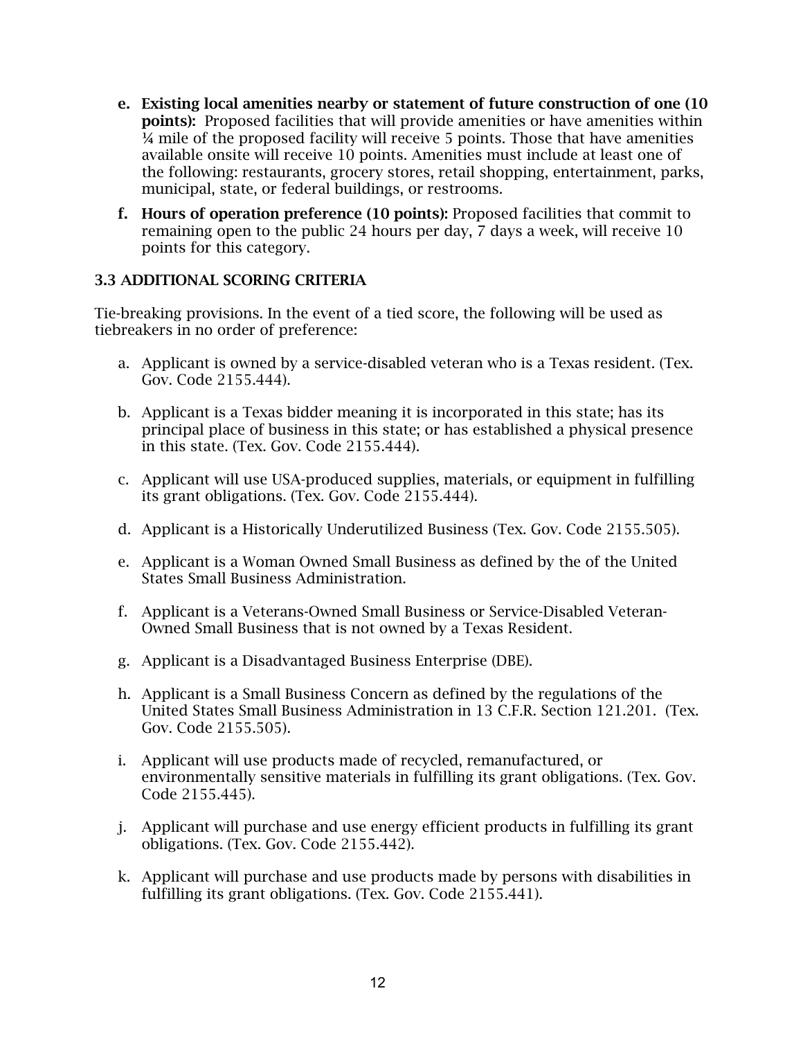- e. Existing local amenities nearby or statement of future construction of one (10 points): Proposed facilities that will provide amenities or have amenities within  $\frac{1}{4}$  mile of the proposed facility will receive 5 points. Those that have amenities available onsite will receive 10 points. Amenities must include at least one of the following: restaurants, grocery stores, retail shopping, entertainment, parks, municipal, state, or federal buildings, or restrooms.
- f. Hours of operation preference (10 points): Proposed facilities that commit to remaining open to the public 24 hours per day, 7 days a week, will receive 10 points for this category.

### <span id="page-14-0"></span>3.3 ADDITIONAL SCORING CRITERIA

Tie-breaking provisions. In the event of a tied score, the following will be used as tiebreakers in no order of preference:

- a. Applicant is owned by a service-disabled veteran who is a Texas resident. (Tex. Gov. Code 2155.444).
- b. Applicant is a Texas bidder meaning it is incorporated in this state; has its principal place of business in this state; or has established a physical presence in this state. (Tex. Gov. Code 2155.444).
- c. Applicant will use USA-produced supplies, materials, or equipment in fulfilling its grant obligations. (Tex. Gov. Code 2155.444).
- d. Applicant is a Historically Underutilized Business (Tex. Gov. Code 2155.505).
- e. Applicant is a Woman Owned Small Business as defined by the of the United States Small Business Administration.
- f. Applicant is a Veterans-Owned Small Business or Service-Disabled Veteran-Owned Small Business that is not owned by a Texas Resident.
- g. Applicant is a Disadvantaged Business Enterprise (DBE).
- h. Applicant is a Small Business Concern as defined by the regulations of the United States Small Business Administration in 13 C.F.R. Section 121.201. (Tex. Gov. Code 2155.505).
- i. Applicant will use products made of recycled, remanufactured, or environmentally sensitive materials in fulfilling its grant obligations. (Tex. Gov. Code 2155.445).
- j. Applicant will purchase and use energy efficient products in fulfilling its grant obligations. (Tex. Gov. Code 2155.442).
- k. Applicant will purchase and use products made by persons with disabilities in fulfilling its grant obligations. (Tex. Gov. Code 2155.441).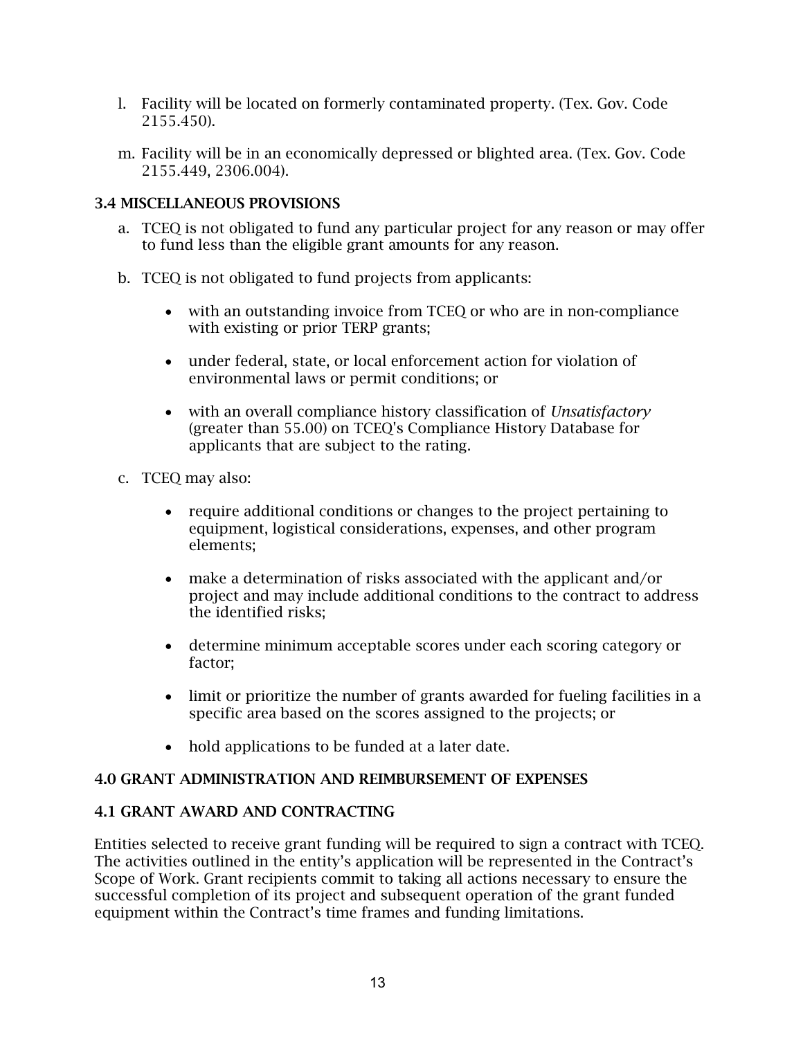- l. Facility will be located on formerly contaminated property. (Tex. Gov. Code 2155.450).
- m. Facility will be in an economically depressed or blighted area. (Tex. Gov. Code 2155.449, 2306.004).

### <span id="page-15-0"></span>3.4 MISCELLANEOUS PROVISIONS

- a. TCEQ is not obligated to fund any particular project for any reason or may offer to fund less than the eligible grant amounts for any reason.
- b. TCEQ is not obligated to fund projects from applicants:
	- with an outstanding invoice from TCEQ or who are in non-compliance with existing or prior TERP grants;
	- under federal, state, or local enforcement action for violation of environmental laws or permit conditions; or
	- with an overall compliance history classification of *Unsatisfactory* (greater than 55.00) on TCEQ's Compliance History Database for applicants that are subject to the rating.
- c. TCEQ may also:
	- require additional conditions or changes to the project pertaining to equipment, logistical considerations, expenses, and other program elements;
	- make a determination of risks associated with the applicant and/or project and may include additional conditions to the contract to address the identified risks;
	- determine minimum acceptable scores under each scoring category or factor;
	- limit or prioritize the number of grants awarded for fueling facilities in a specific area based on the scores assigned to the projects; or
	- hold applications to be funded at a later date.

### <span id="page-15-1"></span>4.0 GRANT ADMINISTRATION AND REIMBURSEMENT OF EXPENSES

### <span id="page-15-2"></span>4.1 GRANT AWARD AND CONTRACTING

Entities selected to receive grant funding will be required to sign a contract with TCEQ. The activities outlined in the entity's application will be represented in the Contract's Scope of Work. Grant recipients commit to taking all actions necessary to ensure the successful completion of its project and subsequent operation of the grant funded equipment within the Contract's time frames and funding limitations.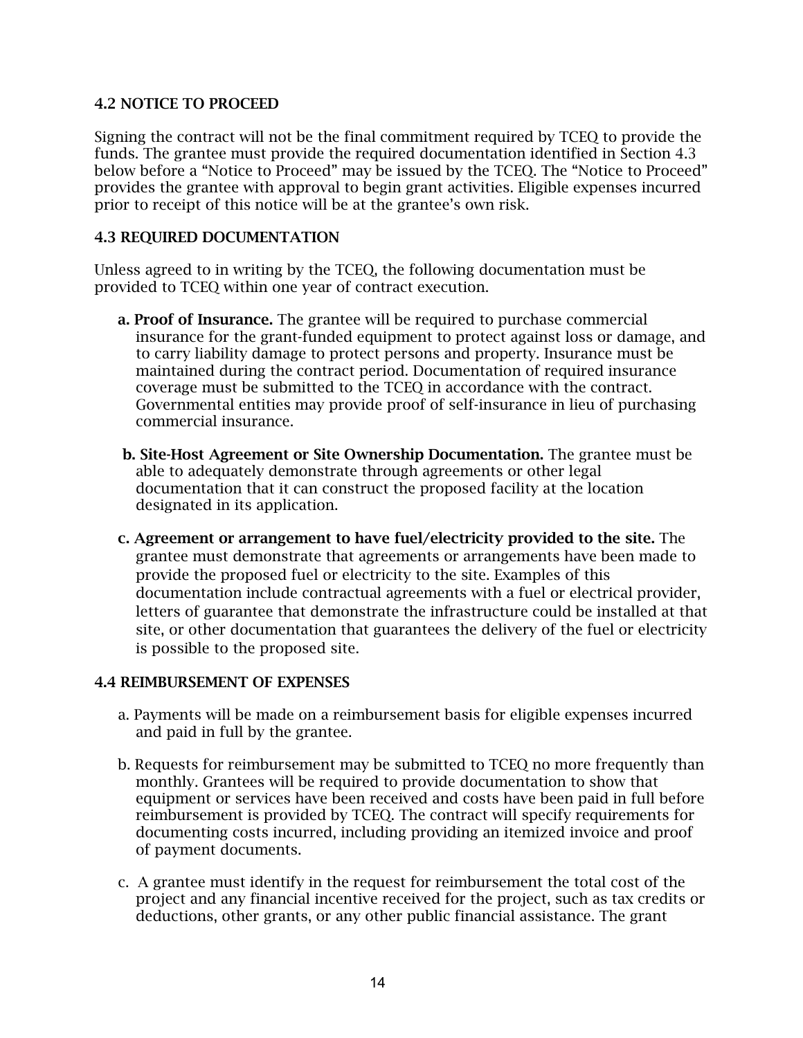#### <span id="page-16-0"></span>4.2 NOTICE TO PROCEED

Signing the contract will not be the final commitment required by TCEQ to provide the funds. The grantee must provide the required documentation identified in Section 4.3 below before a "Notice to Proceed" may be issued by the TCEQ. The "Notice to Proceed" provides the grantee with approval to begin grant activities. Eligible expenses incurred prior to receipt of this notice will be at the grantee's own risk.

#### <span id="page-16-1"></span>4.3 REQUIRED DOCUMENTATION

Unless agreed to in writing by the TCEQ, the following documentation must be provided to TCEQ within one year of contract execution.

- a. Proof of Insurance. The grantee will be required to purchase commercial insurance for the grant-funded equipment to protect against loss or damage, and to carry liability damage to protect persons and property. Insurance must be maintained during the contract period. Documentation of required insurance coverage must be submitted to the TCEQ in accordance with the contract. Governmental entities may provide proof of self-insurance in lieu of purchasing commercial insurance.
- b. Site-Host Agreement or Site Ownership Documentation. The grantee must be able to adequately demonstrate through agreements or other legal documentation that it can construct the proposed facility at the location designated in its application.
- c. Agreement or arrangement to have fuel/electricity provided to the site. The grantee must demonstrate that agreements or arrangements have been made to provide the proposed fuel or electricity to the site. Examples of this documentation include contractual agreements with a fuel or electrical provider, letters of guarantee that demonstrate the infrastructure could be installed at that site, or other documentation that guarantees the delivery of the fuel or electricity is possible to the proposed site.

#### <span id="page-16-2"></span>4.4 REIMBURSEMENT OF EXPENSES

- a. Payments will be made on a reimbursement basis for eligible expenses incurred and paid in full by the grantee.
- b. Requests for reimbursement may be submitted to TCEQ no more frequently than monthly. Grantees will be required to provide documentation to show that equipment or services have been received and costs have been paid in full before reimbursement is provided by TCEQ. The contract will specify requirements for documenting costs incurred, including providing an itemized invoice and proof of payment documents.
- c. A grantee must identify in the request for reimbursement the total cost of the project and any financial incentive received for the project, such as tax credits or deductions, other grants, or any other public financial assistance. The grant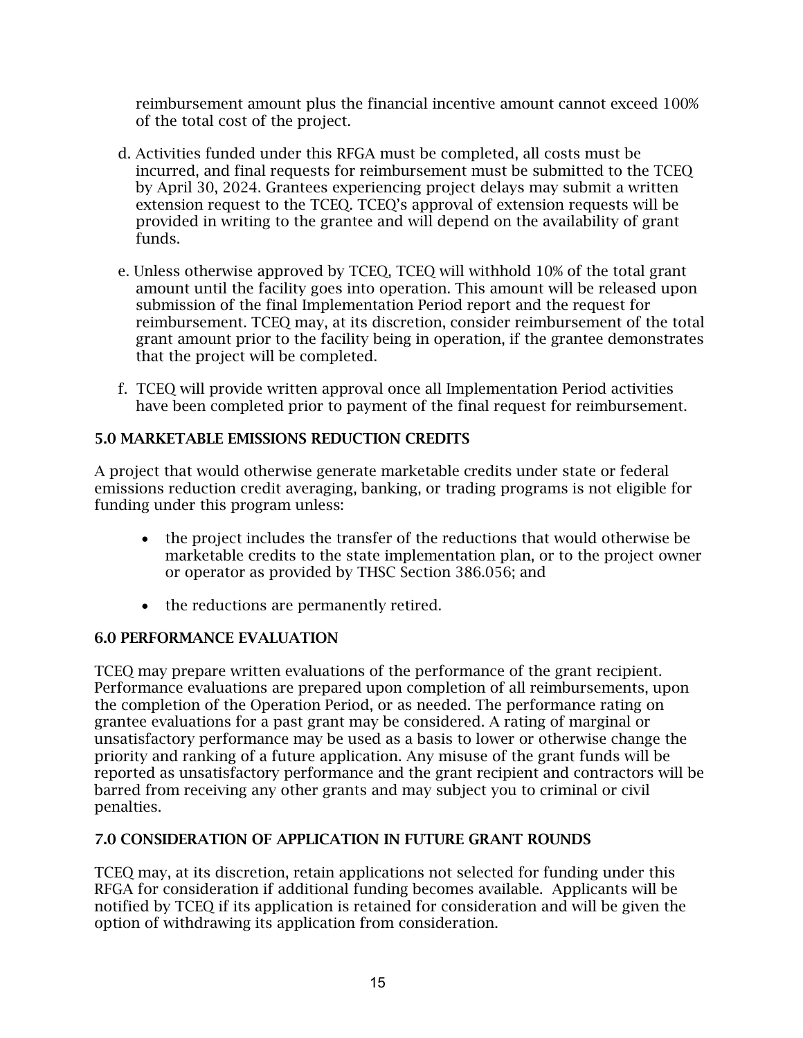reimbursement amount plus the financial incentive amount cannot exceed 100% of the total cost of the project.

- d. Activities funded under this RFGA must be completed, all costs must be incurred, and final requests for reimbursement must be submitted to the TCEQ by April 30, 2024. Grantees experiencing project delays may submit a written extension request to the TCEQ. TCEQ's approval of extension requests will be provided in writing to the grantee and will depend on the availability of grant funds.
- e. Unless otherwise approved by TCEQ, TCEQ will withhold 10% of the total grant amount until the facility goes into operation. This amount will be released upon submission of the final Implementation Period report and the request for reimbursement. TCEQ may, at its discretion, consider reimbursement of the total grant amount prior to the facility being in operation, if the grantee demonstrates that the project will be completed.
- f. TCEQ will provide written approval once all Implementation Period activities have been completed prior to payment of the final request for reimbursement.

## <span id="page-17-0"></span>5.0 MARKETABLE EMISSIONS REDUCTION CREDITS

A project that would otherwise generate marketable credits under state or federal emissions reduction credit averaging, banking, or trading programs is not eligible for funding under this program unless:

- the project includes the transfer of the reductions that would otherwise be marketable credits to the state implementation plan, or to the project owner or operator as provided by THSC Section 386.056; and
- the reductions are permanently retired.

### <span id="page-17-1"></span>6.0 PERFORMANCE EVALUATION

TCEQ may prepare written evaluations of the performance of the grant recipient. Performance evaluations are prepared upon completion of all reimbursements, upon the completion of the Operation Period, or as needed. The performance rating on grantee evaluations for a past grant may be considered. A rating of marginal or unsatisfactory performance may be used as a basis to lower or otherwise change the priority and ranking of a future application. Any misuse of the grant funds will be reported as unsatisfactory performance and the grant recipient and contractors will be barred from receiving any other grants and may subject you to criminal or civil penalties.

### <span id="page-17-2"></span>7.0 CONSIDERATION OF APPLICATION IN FUTURE GRANT ROUNDS

TCEQ may, at its discretion, retain applications not selected for funding under this RFGA for consideration if additional funding becomes available. Applicants will be notified by TCEQ if its application is retained for consideration and will be given the option of withdrawing its application from consideration.